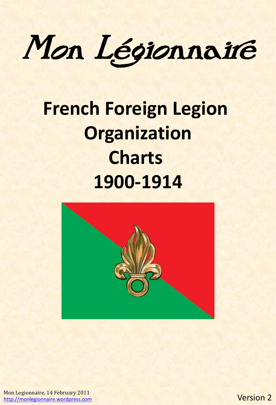Mon Légionnaire

## **French Foreign Legion Organization Charts 1900-1914**



Mon Legionnaire, 14 February 2011 [http://monlegionnaire.wordpress.com](http://monlegionnaire.wordpress.com/)

Version 2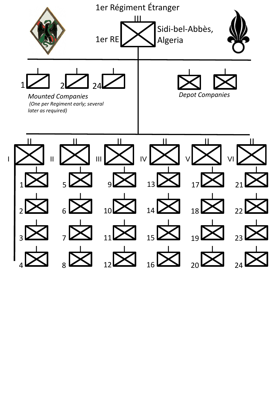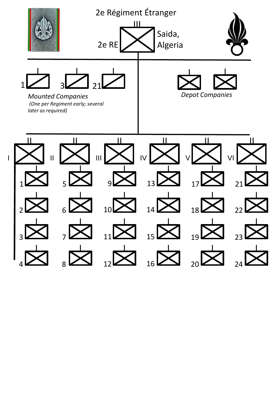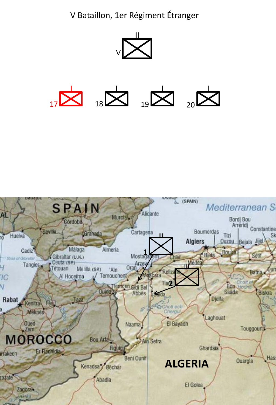V Bataillon, 1er Régiment Étranger



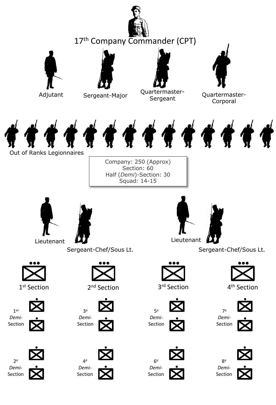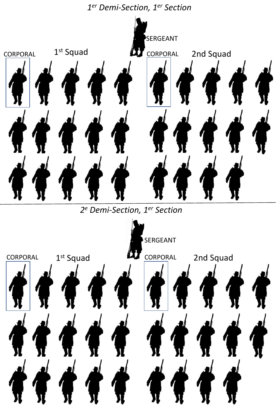## *1 er Demi-Section, 1er Section*



*2 <sup>e</sup> Demi-Section, 1er Section*

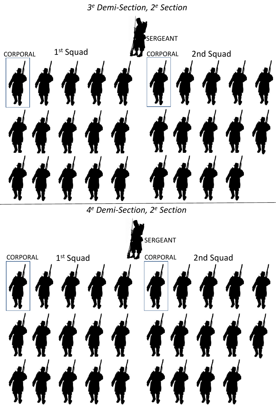*3 <sup>e</sup> Demi-Section, 2<sup>e</sup> Section*



*4 <sup>e</sup> Demi-Section, 2<sup>e</sup> Section*

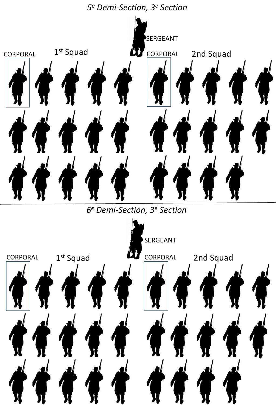*5 <sup>e</sup> Demi-Section, 3<sup>e</sup> Section*



*6 <sup>e</sup> Demi-Section, 3<sup>e</sup> Section*

![](_page_7_Picture_3.jpeg)